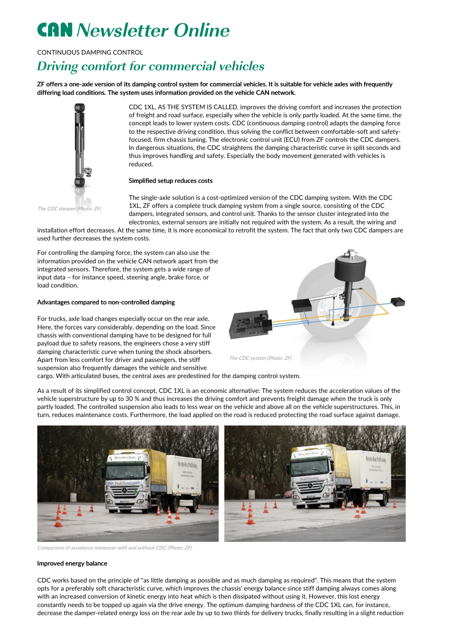# **CAN** Newsletter Online

CONTINUOUS DAMPING CONTROL

## Driving comfort for commercial vehicles

ZF offers a one-axle version of its damping control system for commercial vehicles. It is suitable for vehicle axles with frequently differing load conditions. The system uses information provided on the vehicle CAN network.



CDC 1XL, AS THE SYSTEM IS CALLED, improves the driving comfort and increases the protection of freight and road surface, especially when the vehicle is only partly loaded. At the same time, the concept leads to lower system costs. CDC (continuous damping control) adapts the damping force to the respective driving condition, thus solving the conflict between comfortable-soft and safetyfocused, firm chassis tuning. The electronic control unit (ECU) from ZF controls the CDC dampers. In dangerous situations, the CDC straightens the damping characteristic curve in split seconds and thus improves handling and safety. Especially the body movement generated with vehicles is reduced.

### Simplified setup reduces costs

The CDC damper (Photo: ZF)

The single-axle solution is a cost-optimized version of the CDC damping system. With the CDC 1XL, ZF offers a complete truck damping system from a single source, consisting of the CDC dampers, integrated sensors, and control unit. Thanks to the sensor cluster integrated into the electronics, external sensors are initially not required with the system. As a result, the wiring and

installation effort decreases. At the same time, it is more economical to retrofit the system. The fact that only two CDC dampers are used further decreases the system costs.

For controlling the damping force, the system can also use the information provided on the vehicle CAN network apart from the integrated sensors. Therefore, the system gets a wide range of input data – for instance speed, steering angle, brake force, or load condition.

#### Advantages compared to non-controlled damping

For trucks, axle load changes especially occur on the rear axle. Here, the forces vary considerably, depending on the load. Since chassis with conventional damping have to be designed for full payload due to safety reasons, the engineers chose a very stiff damping characteristic curve when tuning the shock absorbers. Apart from less comfort for driver and passengers, the stiff suspension also frequently damages the vehicle and sensitive



cargo. With articulated buses, the central axes are predestined for the damping control system.

As a result of its simplified control concept, CDC 1XL is an economic alternative: The system reduces the acceleration values of the vehicle superstructure by up to 30 % and thus increases the driving comfort and prevents freight damage when the truck is only partly loaded. The controlled suspension also leads to less wear on the vehicle and above all on the vehicle superstructures. This, in turn, reduces maintenance costs. Furthermore, the load applied on the road is reduced protecting the road surface against damage.



Comparison of avoidance maneuver with and without CDC (Photo: ZF)

### Improved energy balance

CDC works based on the principle of "as little damping as possible and as much damping as required". This means that the system opts for a preferably soft characteristic curve, which improves the chassis' energy balance since stiff damping always comes along with an increased conversion of kinetic energy into heat which is then dissipated without using it. However, this lost energy constantly needs to be topped up again via the drive energy. The optimum damping hardness of the CDC 1XL can, for instance, decrease the damper-related energy loss on the rear axle by up to two thirds for delivery trucks, finally resulting in a slight reduction